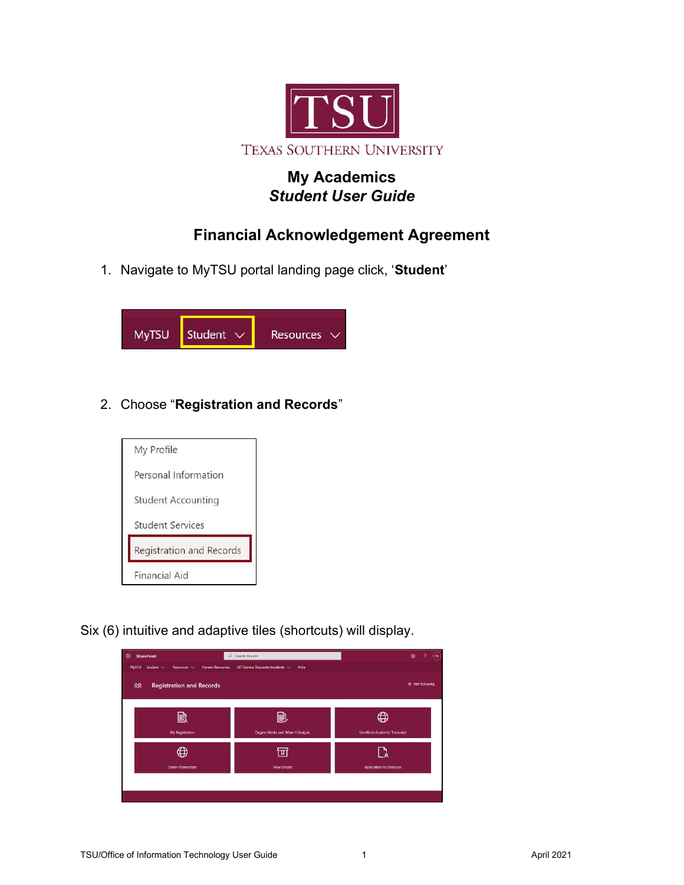

## My Academics Student User Guide

# Financial Acknowledgement Agreement

1. Navigate to MyTSU portal landing page click, 'Student'



### 2. Choose "Registration and Records"



Six (6) intuitive and adaptive tiles (shortcuts) will display.

| 曲<br><b>SharePoint</b>                                                  | $O$ Search this site                     | Ø<br>$(\mathsf{ps})$<br>o                                  |
|-------------------------------------------------------------------------|------------------------------------------|------------------------------------------------------------|
| <b>Human Resources</b><br>Student <<br><b>MyTSU</b><br>Resources $\vee$ | OIT Service Requests/Incidents <<br>Help |                                                            |
| <b>Registration and Records</b><br><b>RR</b>                            |                                          | * Net following                                            |
| 毆<br>My Registration                                                    | È<br>Degree Works and What-If Analysis   | $\mathbb{\Omega}$<br><b>Unofficial Academic Transcript</b> |
| $\bigoplus$<br>Order eTranscripts                                       | प्पा<br><b>View Grades</b>               | Application to Graduate                                    |
|                                                                         |                                          |                                                            |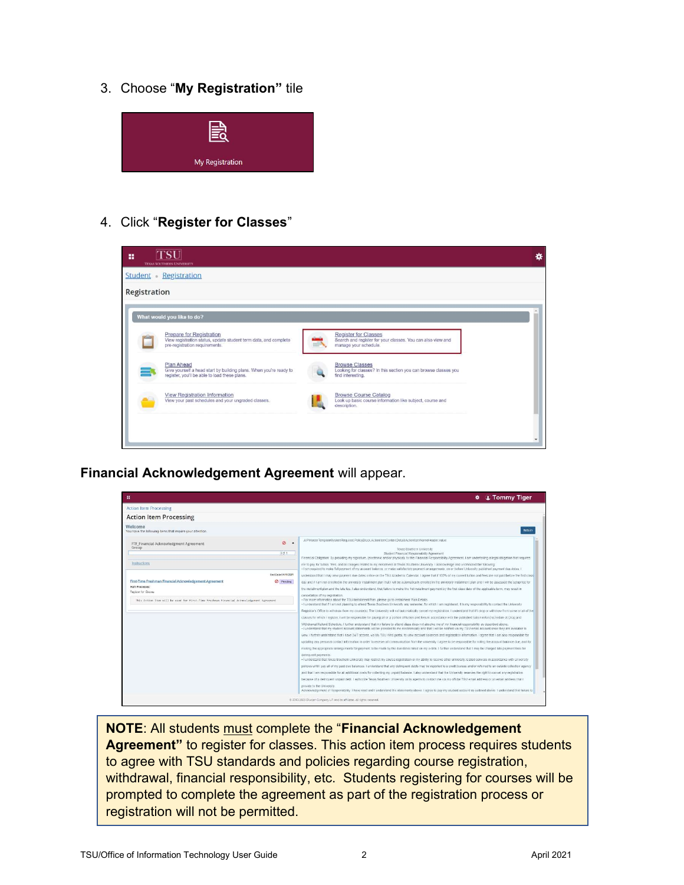3. Choose "My Registration" tile



### 4. Click "Register for Classes"



Financial Acknowledgement Agreement will appear.

|                                                                                                                                                   | <b>☆ ↓ Tommy Tiger</b>                                                                                                                                                                                                                                                                                                                                                                                                                                                                                                                                                                                                                                                                                                                                                                                                                                                                                                                                                                                                                                                                                                                                                                                                                                                                                                                                                                                                                                                                                                                                                                                                                                                                                                                                                                                                                                                                                                                                                                                                                                                                                                                                                                                                                                                                                                                                                                                                                                                                        |
|---------------------------------------------------------------------------------------------------------------------------------------------------|-----------------------------------------------------------------------------------------------------------------------------------------------------------------------------------------------------------------------------------------------------------------------------------------------------------------------------------------------------------------------------------------------------------------------------------------------------------------------------------------------------------------------------------------------------------------------------------------------------------------------------------------------------------------------------------------------------------------------------------------------------------------------------------------------------------------------------------------------------------------------------------------------------------------------------------------------------------------------------------------------------------------------------------------------------------------------------------------------------------------------------------------------------------------------------------------------------------------------------------------------------------------------------------------------------------------------------------------------------------------------------------------------------------------------------------------------------------------------------------------------------------------------------------------------------------------------------------------------------------------------------------------------------------------------------------------------------------------------------------------------------------------------------------------------------------------------------------------------------------------------------------------------------------------------------------------------------------------------------------------------------------------------------------------------------------------------------------------------------------------------------------------------------------------------------------------------------------------------------------------------------------------------------------------------------------------------------------------------------------------------------------------------------------------------------------------------------------------------------------------------|
| <b>Action Item Processing</b>                                                                                                                     |                                                                                                                                                                                                                                                                                                                                                                                                                                                                                                                                                                                                                                                                                                                                                                                                                                                                                                                                                                                                                                                                                                                                                                                                                                                                                                                                                                                                                                                                                                                                                                                                                                                                                                                                                                                                                                                                                                                                                                                                                                                                                                                                                                                                                                                                                                                                                                                                                                                                                               |
| <b>Action Item Processing</b>                                                                                                                     |                                                                                                                                                                                                                                                                                                                                                                                                                                                                                                                                                                                                                                                                                                                                                                                                                                                                                                                                                                                                                                                                                                                                                                                                                                                                                                                                                                                                                                                                                                                                                                                                                                                                                                                                                                                                                                                                                                                                                                                                                                                                                                                                                                                                                                                                                                                                                                                                                                                                                               |
| Welcome<br>You have the following dems that require your attention.                                                                               | Return                                                                                                                                                                                                                                                                                                                                                                                                                                                                                                                                                                                                                                                                                                                                                                                                                                                                                                                                                                                                                                                                                                                                                                                                                                                                                                                                                                                                                                                                                                                                                                                                                                                                                                                                                                                                                                                                                                                                                                                                                                                                                                                                                                                                                                                                                                                                                                                                                                                                                        |
| Ø<br>$\hat{\phantom{a}}$<br>FTF_Financial Acknowledgment Agreement<br>Group<br>$0$ of 1                                                           | All PMaster TemplateSystemRequired PolicyBlock ActionItemContentDetail.ActionItemNameHeader.value<br>Texas Southern University<br>Student Financial Responsibility Agreement<br>Financial Obligation: By providing my signature, (electronic and/or physical), to this Financial Responsibility Agreement, I am undertaking a legal obligation that requires                                                                                                                                                                                                                                                                                                                                                                                                                                                                                                                                                                                                                                                                                                                                                                                                                                                                                                                                                                                                                                                                                                                                                                                                                                                                                                                                                                                                                                                                                                                                                                                                                                                                                                                                                                                                                                                                                                                                                                                                                                                                                                                                  |
| <b>Instructions</b>                                                                                                                               | me to pay for tuttion, fees, and all charges related to my enrolment at Texas Southern University. I acknowledge and understand the following<br>- I am required to make full payment of my account balance, or make satisfactory payment arrangements, on or before University published payment due dates, I                                                                                                                                                                                                                                                                                                                                                                                                                                                                                                                                                                                                                                                                                                                                                                                                                                                                                                                                                                                                                                                                                                                                                                                                                                                                                                                                                                                                                                                                                                                                                                                                                                                                                                                                                                                                                                                                                                                                                                                                                                                                                                                                                                                |
| End Data:04/11/2021<br>First-Time Freshman Financial Acknowledgement Agreement<br><sup>O</sup> Pending<br>Halt Processes:<br>Register for Classes | understand that I may view payment due dates online on the TSU Academic Calendar. I agree that if 100% of my current tullion and fees are not paid before the first class<br>day and if I am not enrolled in the university installment plan that I will be automatically enrolled in the university installment plan and I will be assessed the sclup fee for<br>the installment plan and the late fee. I also understand, that failure to make the 1st installment payment by the tirst class date of the applicable term, may result in                                                                                                                                                                                                                                                                                                                                                                                                                                                                                                                                                                                                                                                                                                                                                                                                                                                                                                                                                                                                                                                                                                                                                                                                                                                                                                                                                                                                                                                                                                                                                                                                                                                                                                                                                                                                                                                                                                                                                    |
| This Action Item will be used for First-Time Freshman Financial Acknowledgement Agreement                                                         | cancellation of my registration.<br>- For more information about the TSU Installment Plan, please go to installment Plan Details.<br>. I understand that if I am not planning to attend Texas Southern Liniversity any semester, for which I am registered. it is my responsibility to contact the University<br>Registrar's Office to withdraw from my course(s). The University will not automatically cancel my registration. I understand that if I drop or withdraw from some or all of the<br>classes for which I register. I will be responsible for paying all or a portion of fution and fees in accordance with the published turion refund schedule at Drop and<br>Withdrawal Refund Schedule: I farther understand that my failure to attend class does not absolve me of my financial responsibility as described above.<br>- I understand that my student account statements will be provided to me electronically and that I will be notified via my TSU email account once they are available to<br>wew I further understand that I have 24/7 access, via My TSU Web portal, to view account balances and registration Information I agree that I am also responsible for<br>updating any personal contact information in order to receive all communication from the university. I agree to be responsible for noting the account balance due, and for<br>making the appropriate arrangements for payment to be made by the due dates listed on my e-bills. I further understand that I may be charged late payment fees for<br>delinquent payments.<br>- I understand that Texas Southern University may restrict my course registration or my ability to receive other university related services in accordance with University<br>policies until I pay all of my past due balances. I understand that any delinquent debts may be reported to a credit bureau and/or referred to an outside collection agency.<br>and that I am responsible for all additional costs for collecting my unpaid balance. I also understand that the University reserves the right to cancel any registration<br>because of a delinquent unpaid debt. I authorize Texas Southern University or its agents to contact me via my official TSU email address or an email address that I<br>provide to the University<br>Acknowledgement of Responsibility. I have read and I understand the statements above I agree to pay my student account as outlined above. I understand that failure to |

NOTE: All students must complete the "Financial Acknowledgement Agreement" to register for classes. This action item process requires students to agree with TSU standards and policies regarding course registration, withdrawal, financial responsibility, etc. Students registering for courses will be prompted to complete the agreement as part of the registration process or registration will not be permitted.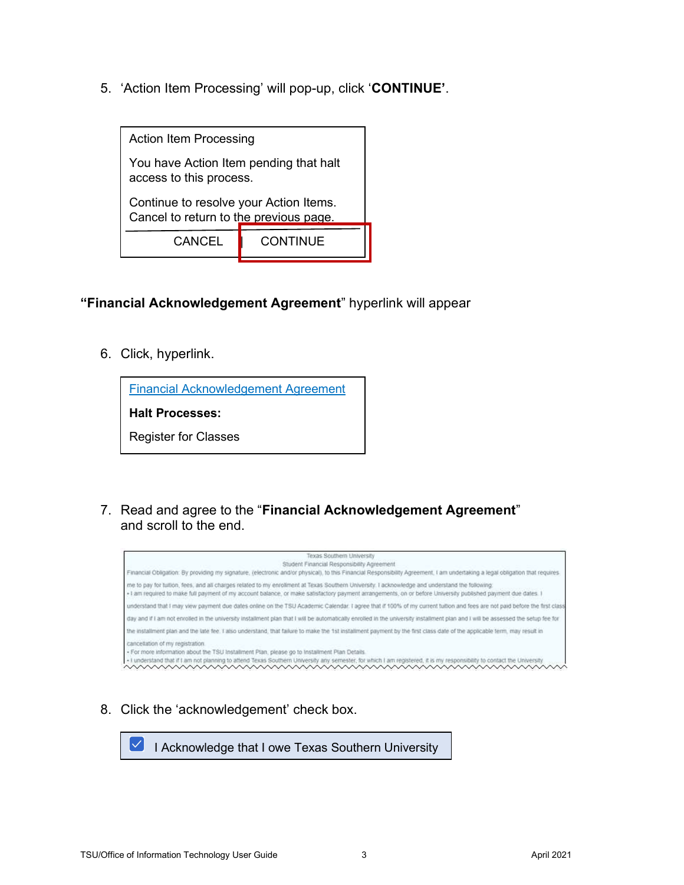5. 'Action Item Processing' will pop-up, click 'CONTINUE'.



#### "Financial Acknowledgement Agreement" hyperlink will appear

6. Click, hyperlink.

Financial Acknowledgement Agreement

Halt Processes:

Register for Classes

7. Read and agree to the "Financial Acknowledgement Agreement" and scroll to the end.



8. Click the 'acknowledgement' check box.